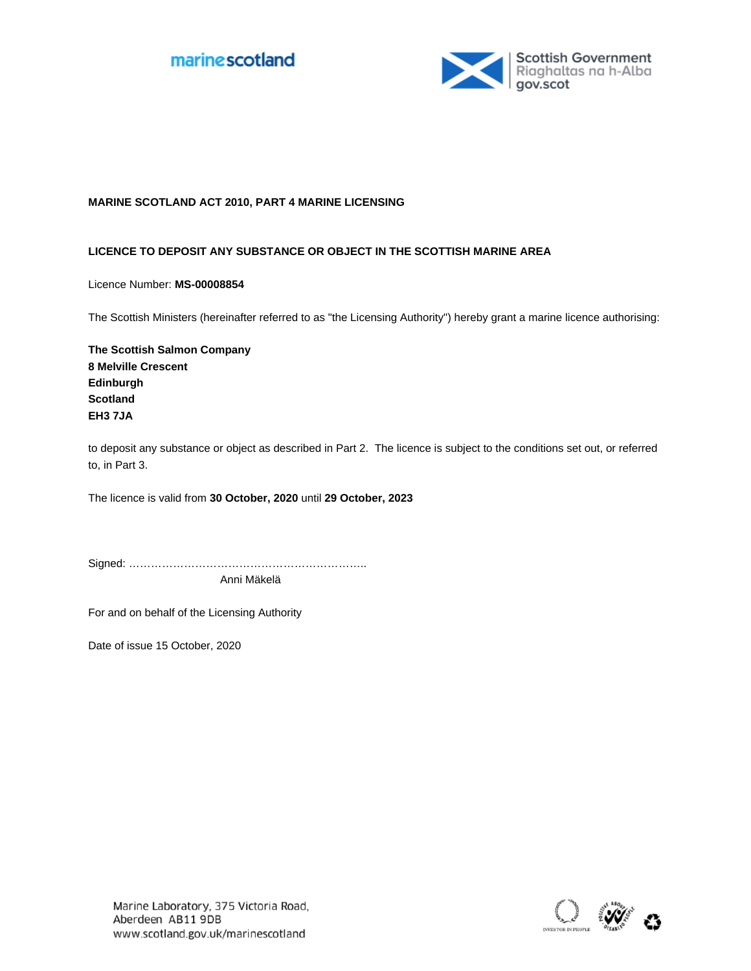



## **MARINE SCOTLAND ACT 2010, PART 4 MARINE LICENSING**

## **LICENCE TO DEPOSIT ANY SUBSTANCE OR OBJECT IN THE SCOTTISH MARINE AREA**

Licence Number: **MS-00008854**

The Scottish Ministers (hereinafter referred to as "the Licensing Authority") hereby grant a marine licence authorising:

**The Scottish Salmon Company 8 Melville Crescent Edinburgh Scotland EH3 7JA**

to deposit any substance or object as described in Part 2. The licence is subject to the conditions set out, or referred to, in Part 3.

The licence is valid from 30 October, 2020 until 29 October, 2023

Signed: ………………………………………………………..

Anni Mäkelä

For and on behalf of the Licensing Authority

Date of issue 15 October, 2020

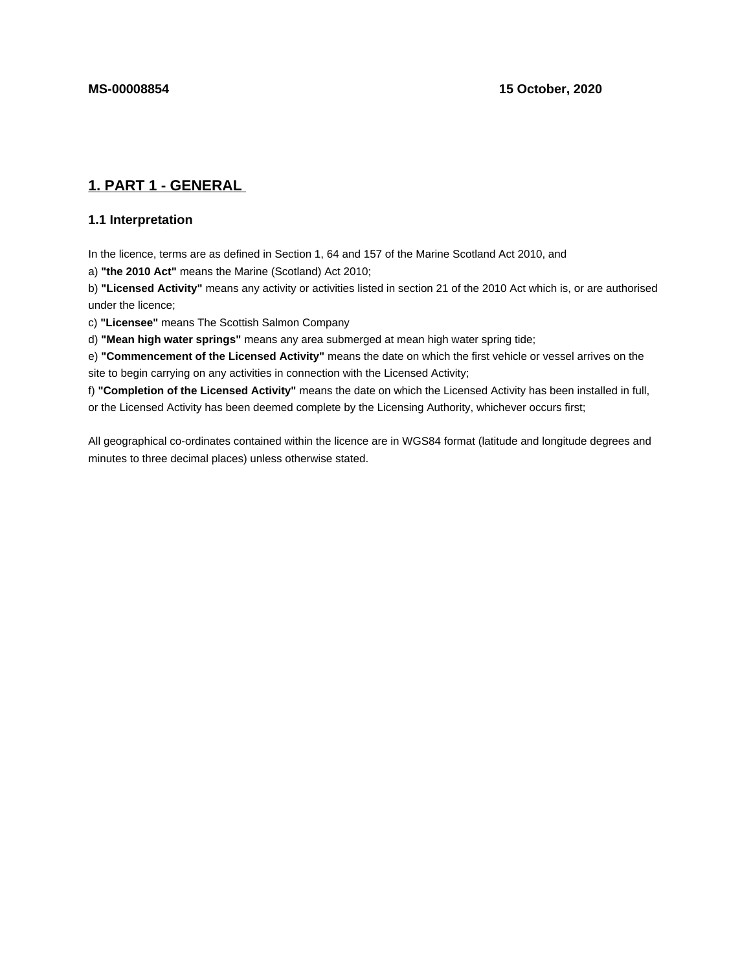# **1. PART 1 - GENERAL**

## **1.1 Interpretation**

In the licence, terms are as defined in Section 1, 64 and 157 of the Marine Scotland Act 2010, and

a) **"the 2010 Act"** means the Marine (Scotland) Act 2010;

b) **"Licensed Activity"** means any activity or activities listed in section 21 of the 2010 Act which is, or are authorised under the licence;

c) **"Licensee"** means The Scottish Salmon Company

d) **"Mean high water springs"** means any area submerged at mean high water spring tide;

e) **"Commencement of the Licensed Activity"** means the date on which the first vehicle or vessel arrives on the site to begin carrying on any activities in connection with the Licensed Activity;

f) **"Completion of the Licensed Activity"** means the date on which the Licensed Activity has been installed in full, or the Licensed Activity has been deemed complete by the Licensing Authority, whichever occurs first;

All geographical co-ordinates contained within the licence are in WGS84 format (latitude and longitude degrees and minutes to three decimal places) unless otherwise stated.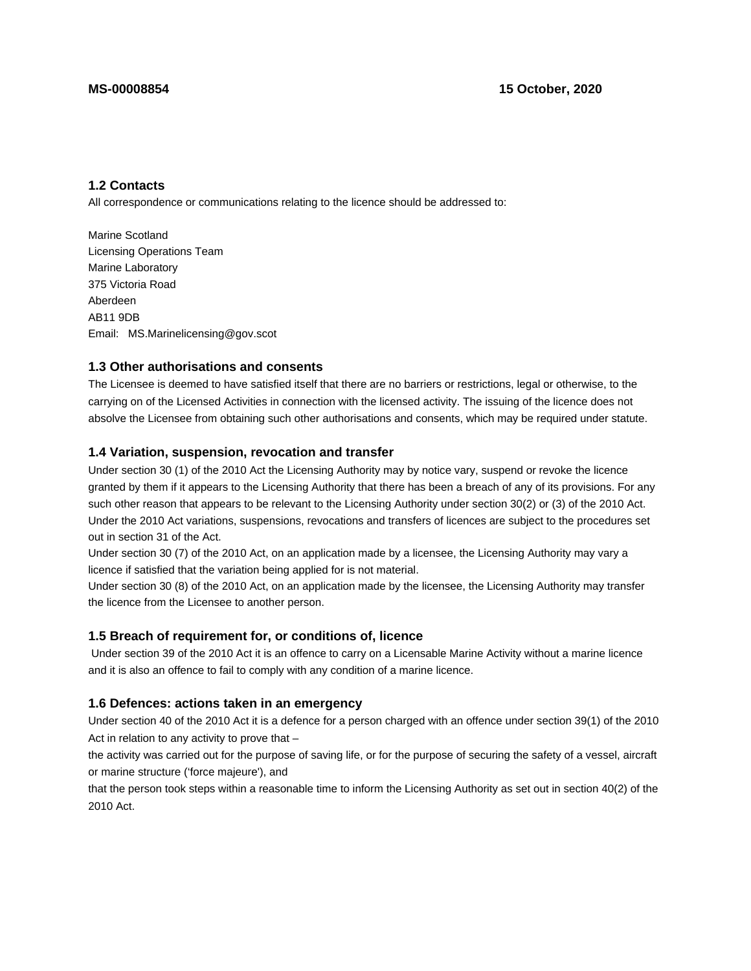## **1.2 Contacts**

All correspondence or communications relating to the licence should be addressed to:

Marine Scotland Licensing Operations Team Marine Laboratory 375 Victoria Road Aberdeen AB11 9DB Email: MS.Marinelicensing@gov.scot

#### **1.3 Other authorisations and consents**

The Licensee is deemed to have satisfied itself that there are no barriers or restrictions, legal or otherwise, to the carrying on of the Licensed Activities in connection with the licensed activity. The issuing of the licence does not absolve the Licensee from obtaining such other authorisations and consents, which may be required under statute.

#### **1.4 Variation, suspension, revocation and transfer**

Under section 30 (1) of the 2010 Act the Licensing Authority may by notice vary, suspend or revoke the licence granted by them if it appears to the Licensing Authority that there has been a breach of any of its provisions. For any such other reason that appears to be relevant to the Licensing Authority under section 30(2) or (3) of the 2010 Act. Under the 2010 Act variations, suspensions, revocations and transfers of licences are subject to the procedures set out in section 31 of the Act.

Under section 30 (7) of the 2010 Act, on an application made by a licensee, the Licensing Authority may vary a licence if satisfied that the variation being applied for is not material.

Under section 30 (8) of the 2010 Act, on an application made by the licensee, the Licensing Authority may transfer the licence from the Licensee to another person.

#### **1.5 Breach of requirement for, or conditions of, licence**

 Under section 39 of the 2010 Act it is an offence to carry on a Licensable Marine Activity without a marine licence and it is also an offence to fail to comply with any condition of a marine licence.

#### **1.6 Defences: actions taken in an emergency**

Under section 40 of the 2010 Act it is a defence for a person charged with an offence under section 39(1) of the 2010 Act in relation to any activity to prove that –

the activity was carried out for the purpose of saving life, or for the purpose of securing the safety of a vessel, aircraft or marine structure ('force majeure'), and

that the person took steps within a reasonable time to inform the Licensing Authority as set out in section 40(2) of the 2010 Act.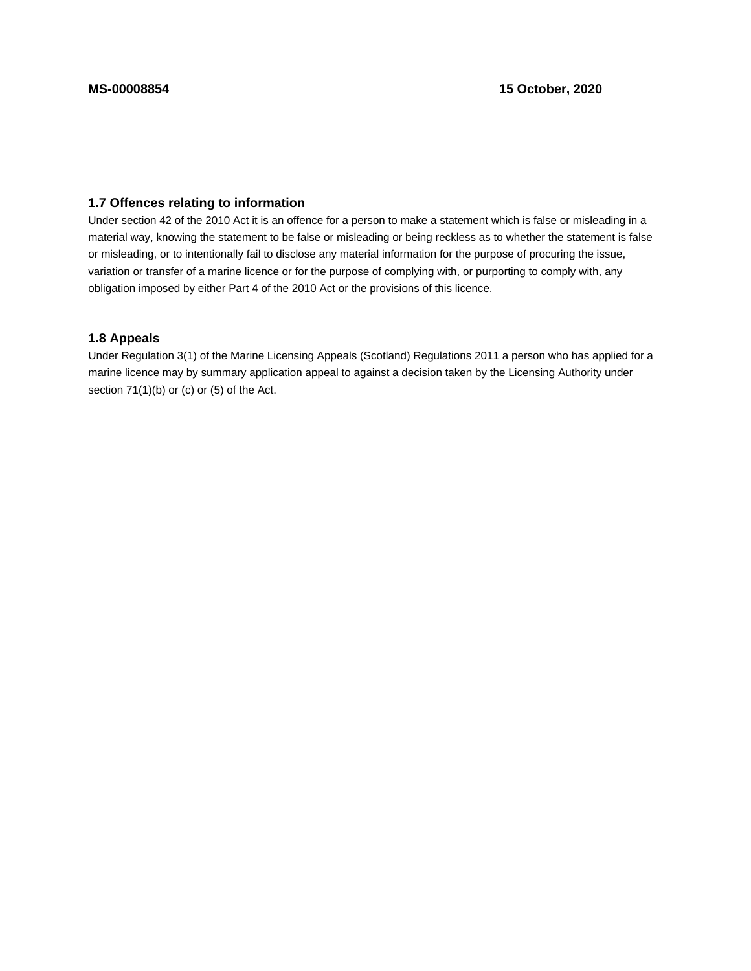## **1.7 Offences relating to information**

Under section 42 of the 2010 Act it is an offence for a person to make a statement which is false or misleading in a material way, knowing the statement to be false or misleading or being reckless as to whether the statement is false or misleading, or to intentionally fail to disclose any material information for the purpose of procuring the issue, variation or transfer of a marine licence or for the purpose of complying with, or purporting to comply with, any obligation imposed by either Part 4 of the 2010 Act or the provisions of this licence.

## **1.8 Appeals**

Under Regulation 3(1) of the Marine Licensing Appeals (Scotland) Regulations 2011 a person who has applied for a marine licence may by summary application appeal to against a decision taken by the Licensing Authority under section 71(1)(b) or (c) or (5) of the Act.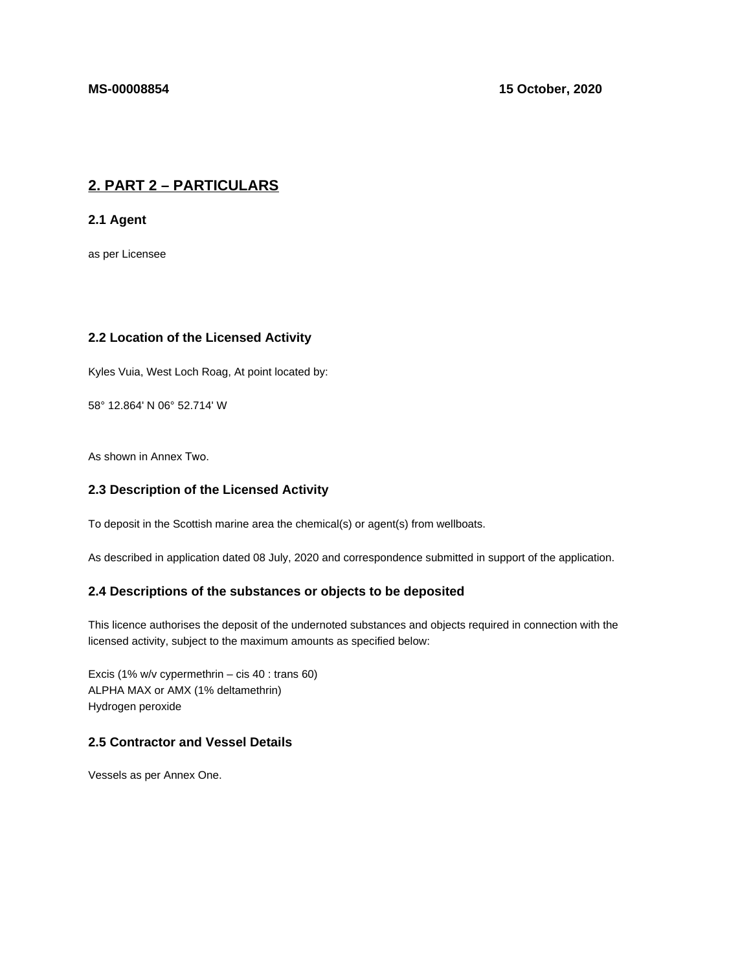# **2. PART 2 – PARTICULARS**

**2.1 Agent**

as per Licensee

## **2.2 Location of the Licensed Activity**

Kyles Vuia, West Loch Roag, At point located by:

58° 12.864' N 06° 52.714' W

As shown in Annex Two.

## **2.3 Description of the Licensed Activity**

To deposit in the Scottish marine area the chemical(s) or agent(s) from wellboats.

As described in application dated 08 July, 2020 and correspondence submitted in support of the application.

#### **2.4 Descriptions of the substances or objects to be deposited**

This licence authorises the deposit of the undernoted substances and objects required in connection with the licensed activity, subject to the maximum amounts as specified below:

Excis (1% w/v cypermethrin – cis 40 : trans 60) ALPHA MAX or AMX (1% deltamethrin) Hydrogen peroxide

## **2.5 Contractor and Vessel Details**

Vessels as per Annex One.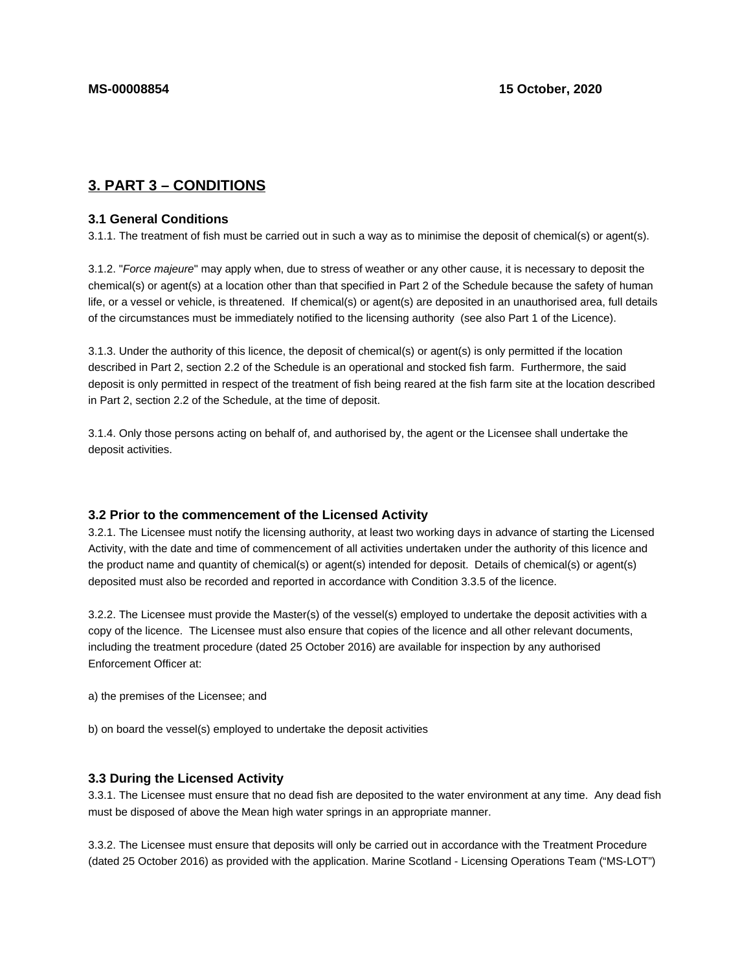# **3. PART 3 – CONDITIONS**

#### **3.1 General Conditions**

3.1.1. The treatment of fish must be carried out in such a way as to minimise the deposit of chemical(s) or agent(s).

3.1.2. "Force majeure" may apply when, due to stress of weather or any other cause, it is necessary to deposit the chemical(s) or agent(s) at a location other than that specified in Part 2 of the Schedule because the safety of human life, or a vessel or vehicle, is threatened. If chemical(s) or agent(s) are deposited in an unauthorised area, full details of the circumstances must be immediately notified to the licensing authority (see also Part 1 of the Licence).

3.1.3. Under the authority of this licence, the deposit of chemical(s) or agent(s) is only permitted if the location described in Part 2, section 2.2 of the Schedule is an operational and stocked fish farm. Furthermore, the said deposit is only permitted in respect of the treatment of fish being reared at the fish farm site at the location described in Part 2, section 2.2 of the Schedule, at the time of deposit.

3.1.4. Only those persons acting on behalf of, and authorised by, the agent or the Licensee shall undertake the deposit activities.

#### **3.2 Prior to the commencement of the Licensed Activity**

3.2.1. The Licensee must notify the licensing authority, at least two working days in advance of starting the Licensed Activity, with the date and time of commencement of all activities undertaken under the authority of this licence and the product name and quantity of chemical(s) or agent(s) intended for deposit. Details of chemical(s) or agent(s) deposited must also be recorded and reported in accordance with Condition 3.3.5 of the licence.

3.2.2. The Licensee must provide the Master(s) of the vessel(s) employed to undertake the deposit activities with a copy of the licence. The Licensee must also ensure that copies of the licence and all other relevant documents, including the treatment procedure (dated 25 October 2016) are available for inspection by any authorised Enforcement Officer at:

a) the premises of the Licensee; and

b) on board the vessel(s) employed to undertake the deposit activities

#### **3.3 During the Licensed Activity**

3.3.1. The Licensee must ensure that no dead fish are deposited to the water environment at any time. Any dead fish must be disposed of above the Mean high water springs in an appropriate manner.

3.3.2. The Licensee must ensure that deposits will only be carried out in accordance with the Treatment Procedure (dated 25 October 2016) as provided with the application. Marine Scotland - Licensing Operations Team ("MS-LOT")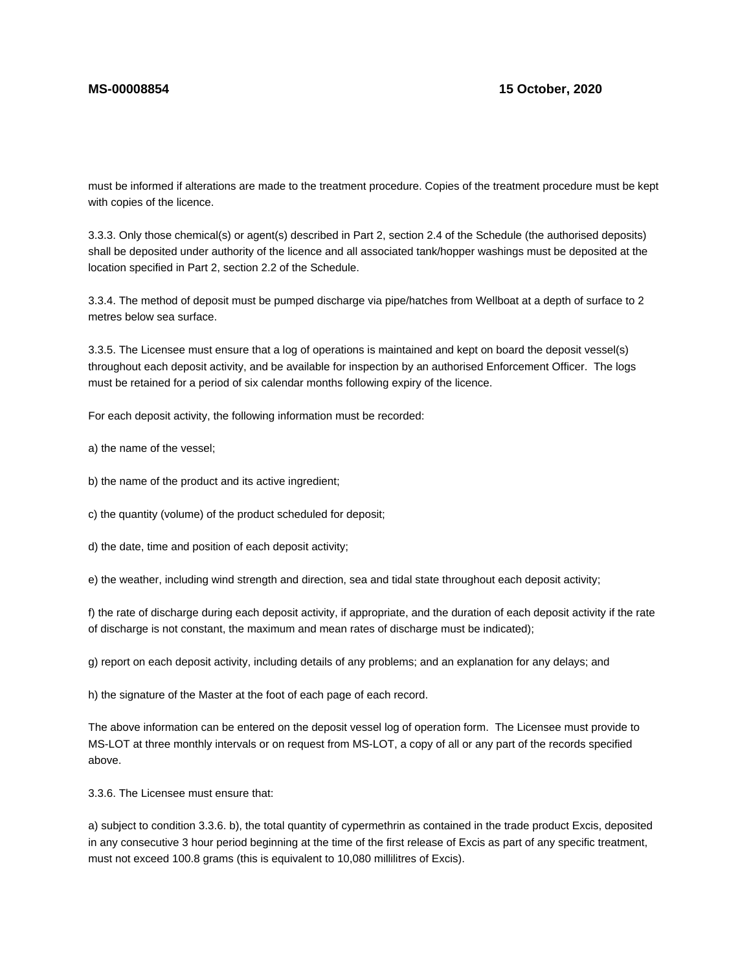must be informed if alterations are made to the treatment procedure. Copies of the treatment procedure must be kept with copies of the licence.

3.3.3. Only those chemical(s) or agent(s) described in Part 2, section 2.4 of the Schedule (the authorised deposits) shall be deposited under authority of the licence and all associated tank/hopper washings must be deposited at the location specified in Part 2, section 2.2 of the Schedule.

3.3.4. The method of deposit must be pumped discharge via pipe/hatches from Wellboat at a depth of surface to 2 metres below sea surface.

3.3.5. The Licensee must ensure that a log of operations is maintained and kept on board the deposit vessel(s) throughout each deposit activity, and be available for inspection by an authorised Enforcement Officer. The logs must be retained for a period of six calendar months following expiry of the licence.

For each deposit activity, the following information must be recorded:

a) the name of the vessel;

- b) the name of the product and its active ingredient;
- c) the quantity (volume) of the product scheduled for deposit;
- d) the date, time and position of each deposit activity;

e) the weather, including wind strength and direction, sea and tidal state throughout each deposit activity;

f) the rate of discharge during each deposit activity, if appropriate, and the duration of each deposit activity if the rate of discharge is not constant, the maximum and mean rates of discharge must be indicated);

g) report on each deposit activity, including details of any problems; and an explanation for any delays; and

h) the signature of the Master at the foot of each page of each record.

The above information can be entered on the deposit vessel log of operation form. The Licensee must provide to MS-LOT at three monthly intervals or on request from MS-LOT, a copy of all or any part of the records specified above.

3.3.6. The Licensee must ensure that:

a) subject to condition 3.3.6. b), the total quantity of cypermethrin as contained in the trade product Excis, deposited in any consecutive 3 hour period beginning at the time of the first release of Excis as part of any specific treatment, must not exceed 100.8 grams (this is equivalent to 10,080 millilitres of Excis).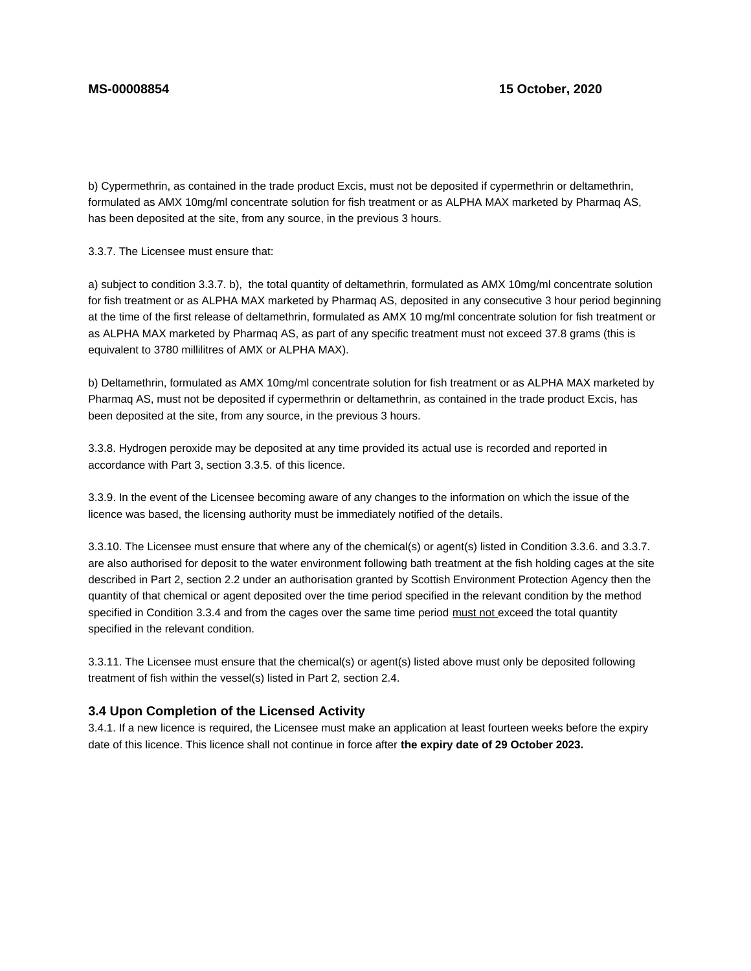b) Cypermethrin, as contained in the trade product Excis, must not be deposited if cypermethrin or deltamethrin, formulated as AMX 10mg/ml concentrate solution for fish treatment or as ALPHA MAX marketed by Pharmaq AS, has been deposited at the site, from any source, in the previous 3 hours.

3.3.7. The Licensee must ensure that:

a) subject to condition 3.3.7. b), the total quantity of deltamethrin, formulated as AMX 10mg/ml concentrate solution for fish treatment or as ALPHA MAX marketed by Pharmaq AS, deposited in any consecutive 3 hour period beginning at the time of the first release of deltamethrin, formulated as AMX 10 mg/ml concentrate solution for fish treatment or as ALPHA MAX marketed by Pharmaq AS, as part of any specific treatment must not exceed 37.8 grams (this is equivalent to 3780 millilitres of AMX or ALPHA MAX).

b) Deltamethrin, formulated as AMX 10mg/ml concentrate solution for fish treatment or as ALPHA MAX marketed by Pharmaq AS, must not be deposited if cypermethrin or deltamethrin, as contained in the trade product Excis, has been deposited at the site, from any source, in the previous 3 hours.

3.3.8. Hydrogen peroxide may be deposited at any time provided its actual use is recorded and reported in accordance with Part 3, section 3.3.5. of this licence.

3.3.9. In the event of the Licensee becoming aware of any changes to the information on which the issue of the licence was based, the licensing authority must be immediately notified of the details.

3.3.10. The Licensee must ensure that where any of the chemical(s) or agent(s) listed in Condition 3.3.6. and 3.3.7. are also authorised for deposit to the water environment following bath treatment at the fish holding cages at the site described in Part 2, section 2.2 under an authorisation granted by Scottish Environment Protection Agency then the quantity of that chemical or agent deposited over the time period specified in the relevant condition by the method specified in Condition 3.3.4 and from the cages over the same time period must not exceed the total quantity specified in the relevant condition.

3.3.11. The Licensee must ensure that the chemical(s) or agent(s) listed above must only be deposited following treatment of fish within the vessel(s) listed in Part 2, section 2.4.

#### **3.4 Upon Completion of the Licensed Activity**

3.4.1. If a new licence is required, the Licensee must make an application at least fourteen weeks before the expiry date of this licence. This licence shall not continue in force after **the expiry date of 29 October 2023.**